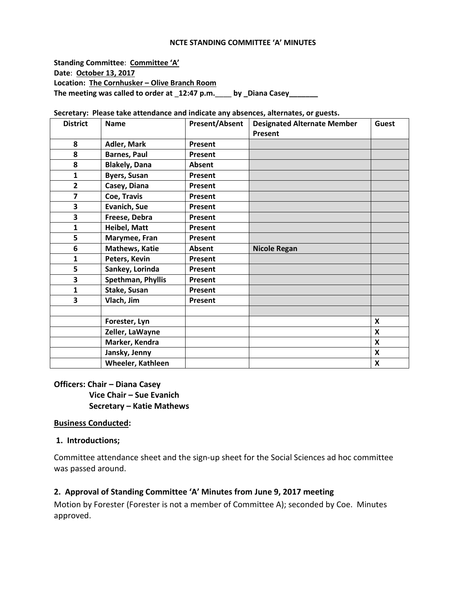#### **NCTE STANDING COMMITTEE 'A' MINUTES**

**Standing Committee**: **Committee 'A' Date**: **October 13, 2017 Location: The Cornhusker – Olive Branch Room The meeting was called to order at** \_**12:47 p.m.**\_\_\_\_ **by \_Diana Casey\_\_\_\_\_\_\_**

| <b>District</b> | <b>Name</b>          | <b>Present/Absent</b> | <b>Designated Alternate Member</b><br>Present | Guest |
|-----------------|----------------------|-----------------------|-----------------------------------------------|-------|
| 8               | Adler, Mark          | Present               |                                               |       |
| 8               | <b>Barnes, Paul</b>  | Present               |                                               |       |
| 8               | <b>Blakely, Dana</b> | Absent                |                                               |       |
| 1               | <b>Byers, Susan</b>  | Present               |                                               |       |
| $\overline{2}$  | Casey, Diana         | Present               |                                               |       |
| 7               | Coe, Travis          | Present               |                                               |       |
| 3               | Evanich, Sue         | Present               |                                               |       |
| 3               | Freese, Debra        | Present               |                                               |       |
| 1               | Heibel, Matt         | Present               |                                               |       |
| 5               | Marymee, Fran        | Present               |                                               |       |
| 6               | Mathews, Katie       | Absent                | <b>Nicole Regan</b>                           |       |
| 1               | Peters, Kevin        | Present               |                                               |       |
| 5               | Sankey, Lorinda      | Present               |                                               |       |
| 3               | Spethman, Phyllis    | Present               |                                               |       |
| 1               | Stake, Susan         | Present               |                                               |       |
| 3               | Vlach, Jim           | Present               |                                               |       |
|                 |                      |                       |                                               |       |
|                 | Forester, Lyn        |                       |                                               | X     |
|                 | Zeller, LaWayne      |                       |                                               | X     |
|                 | Marker, Kendra       |                       |                                               | X     |
|                 | Jansky, Jenny        |                       |                                               | X     |
|                 | Wheeler, Kathleen    |                       |                                               | X     |

**Secretary: Please take attendance and indicate any absences, alternates, or guests.**

#### **Officers: Chair – Diana Casey**

 **Vice Chair – Sue Evanich Secretary – Katie Mathews**

#### **Business Conducted:**

#### **1. Introductions;**

Committee attendance sheet and the sign-up sheet for the Social Sciences ad hoc committee was passed around.

#### **2. Approval of Standing Committee 'A' Minutes from June 9, 2017 meeting**

Motion by Forester (Forester is not a member of Committee A); seconded by Coe. Minutes approved.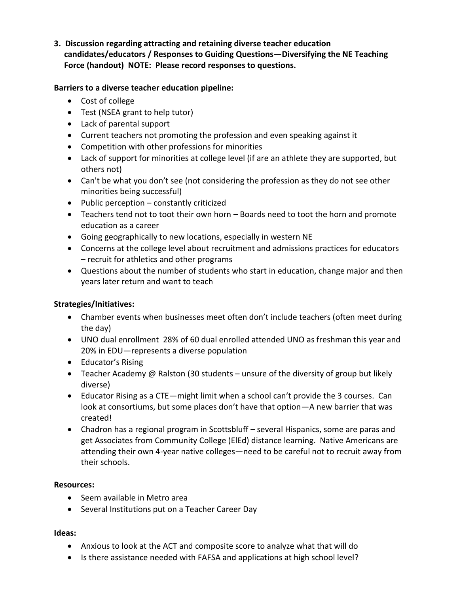**3. Discussion regarding attracting and retaining diverse teacher education candidates/educators / Responses to Guiding Questions—Diversifying the NE Teaching Force (handout) NOTE: Please record responses to questions.**

### **Barriers to a diverse teacher education pipeline:**

- Cost of college
- Test (NSEA grant to help tutor)
- Lack of parental support
- Current teachers not promoting the profession and even speaking against it
- Competition with other professions for minorities
- Lack of support for minorities at college level (if are an athlete they are supported, but others not)
- Can't be what you don't see (not considering the profession as they do not see other minorities being successful)
- $\bullet$  Public perception constantly criticized
- Teachers tend not to toot their own horn Boards need to toot the horn and promote education as a career
- Going geographically to new locations, especially in western NE
- Concerns at the college level about recruitment and admissions practices for educators – recruit for athletics and other programs
- Questions about the number of students who start in education, change major and then years later return and want to teach

# **Strategies/Initiatives:**

- Chamber events when businesses meet often don't include teachers (often meet during the day)
- UNO dual enrollment 28% of 60 dual enrolled attended UNO as freshman this year and 20% in EDU—represents a diverse population
- Educator's Rising
- **•** Teacher Academy @ Ralston (30 students unsure of the diversity of group but likely diverse)
- Educator Rising as a CTE—might limit when a school can't provide the 3 courses. Can look at consortiums, but some places don't have that option—A new barrier that was created!
- Chadron has a regional program in Scottsbluff several Hispanics, some are paras and get Associates from Community College (ElEd) distance learning. Native Americans are attending their own 4-year native colleges—need to be careful not to recruit away from their schools.

### **Resources:**

- Seem available in Metro area
- Several Institutions put on a Teacher Career Day

### **Ideas:**

- Anxious to look at the ACT and composite score to analyze what that will do
- Is there assistance needed with FAFSA and applications at high school level?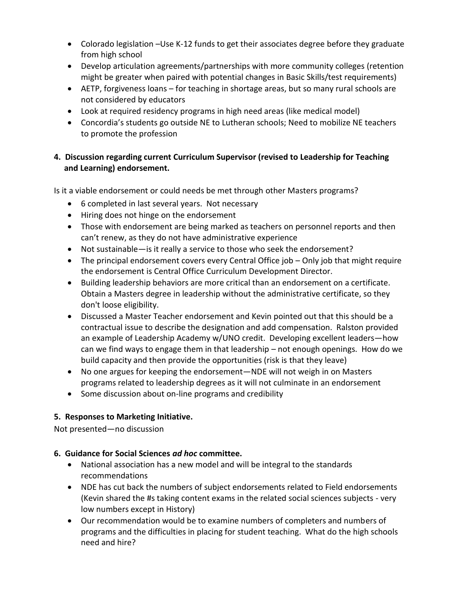- Colorado legislation -Use K-12 funds to get their associates degree before they graduate from high school
- Develop articulation agreements/partnerships with more community colleges (retention might be greater when paired with potential changes in Basic Skills/test requirements)
- AETP, forgiveness loans for teaching in shortage areas, but so many rural schools are not considered by educators
- Look at required residency programs in high need areas (like medical model)
- Concordia's students go outside NE to Lutheran schools; Need to mobilize NE teachers to promote the profession

# **4. Discussion regarding current Curriculum Supervisor (revised to Leadership for Teaching and Learning) endorsement.**

Is it a viable endorsement or could needs be met through other Masters programs?

- 6 completed in last several years. Not necessary
- Hiring does not hinge on the endorsement
- Those with endorsement are being marked as teachers on personnel reports and then can't renew, as they do not have administrative experience
- Not sustainable—is it really a service to those who seek the endorsement?
- The principal endorsement covers every Central Office job Only job that might require the endorsement is Central Office Curriculum Development Director.
- Building leadership behaviors are more critical than an endorsement on a certificate. Obtain a Masters degree in leadership without the administrative certificate, so they don't loose eligibility.
- Discussed a Master Teacher endorsement and Kevin pointed out that this should be a contractual issue to describe the designation and add compensation. Ralston provided an example of Leadership Academy w/UNO credit. Developing excellent leaders—how can we find ways to engage them in that leadership – not enough openings. How do we build capacity and then provide the opportunities (risk is that they leave)
- No one argues for keeping the endorsement—NDE will not weigh in on Masters programs related to leadership degrees as it will not culminate in an endorsement
- Some discussion about on-line programs and credibility

### **5. Responses to Marketing Initiative.**

Not presented—no discussion

### **6. Guidance for Social Sciences** *ad hoc* **committee.**

- National association has a new model and will be integral to the standards recommendations
- NDE has cut back the numbers of subject endorsements related to Field endorsements (Kevin shared the #s taking content exams in the related social sciences subjects - very low numbers except in History)
- Our recommendation would be to examine numbers of completers and numbers of programs and the difficulties in placing for student teaching. What do the high schools need and hire?